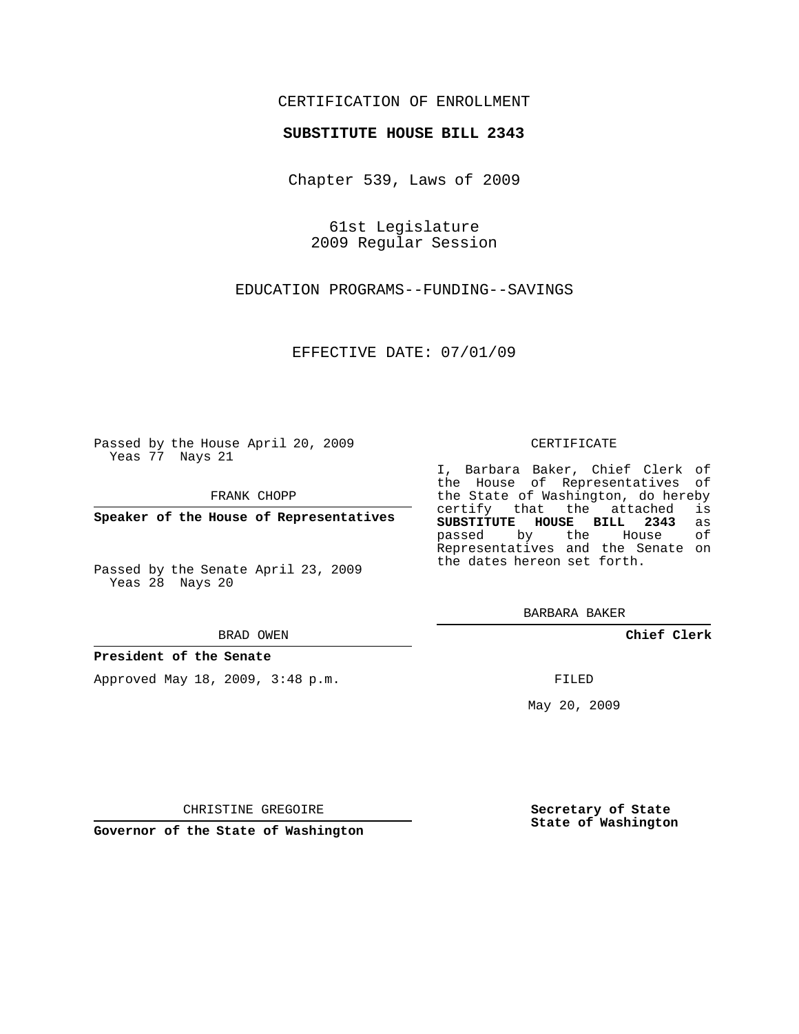# CERTIFICATION OF ENROLLMENT

## **SUBSTITUTE HOUSE BILL 2343**

Chapter 539, Laws of 2009

61st Legislature 2009 Regular Session

EDUCATION PROGRAMS--FUNDING--SAVINGS

EFFECTIVE DATE: 07/01/09

Passed by the House April 20, 2009 Yeas 77 Nays 21

FRANK CHOPP

**Speaker of the House of Representatives**

Passed by the Senate April 23, 2009 Yeas 28 Nays 20

#### BRAD OWEN

### **President of the Senate**

Approved May 18, 2009, 3:48 p.m.

#### CERTIFICATE

I, Barbara Baker, Chief Clerk of the House of Representatives of the State of Washington, do hereby<br>certify that the attached is certify that the attached **SUBSTITUTE HOUSE BILL 2343** as passed by the Representatives and the Senate on the dates hereon set forth.

BARBARA BAKER

**Chief Clerk**

FILED

May 20, 2009

**Secretary of State State of Washington**

CHRISTINE GREGOIRE

**Governor of the State of Washington**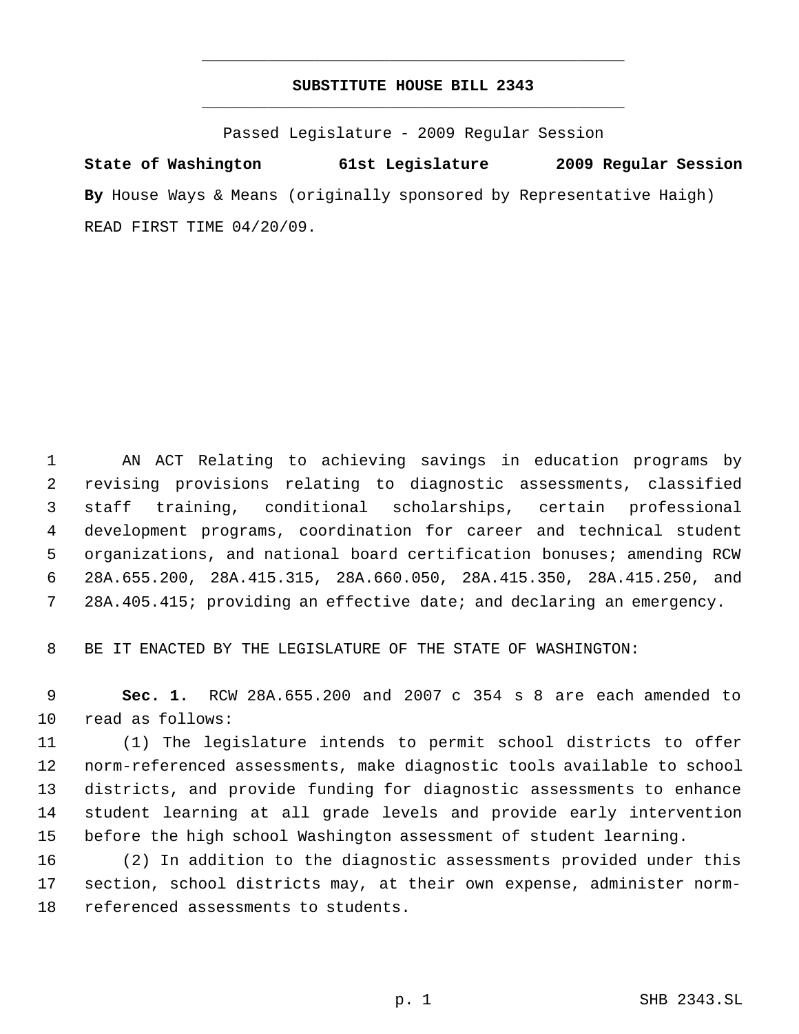# **SUBSTITUTE HOUSE BILL 2343** \_\_\_\_\_\_\_\_\_\_\_\_\_\_\_\_\_\_\_\_\_\_\_\_\_\_\_\_\_\_\_\_\_\_\_\_\_\_\_\_\_\_\_\_\_

\_\_\_\_\_\_\_\_\_\_\_\_\_\_\_\_\_\_\_\_\_\_\_\_\_\_\_\_\_\_\_\_\_\_\_\_\_\_\_\_\_\_\_\_\_

Passed Legislature - 2009 Regular Session

**State of Washington 61st Legislature 2009 Regular Session By** House Ways & Means (originally sponsored by Representative Haigh) READ FIRST TIME 04/20/09.

 AN ACT Relating to achieving savings in education programs by revising provisions relating to diagnostic assessments, classified staff training, conditional scholarships, certain professional development programs, coordination for career and technical student organizations, and national board certification bonuses; amending RCW 28A.655.200, 28A.415.315, 28A.660.050, 28A.415.350, 28A.415.250, and 28A.405.415; providing an effective date; and declaring an emergency.

BE IT ENACTED BY THE LEGISLATURE OF THE STATE OF WASHINGTON:

 **Sec. 1.** RCW 28A.655.200 and 2007 c 354 s 8 are each amended to read as follows:

 (1) The legislature intends to permit school districts to offer norm-referenced assessments, make diagnostic tools available to school districts, and provide funding for diagnostic assessments to enhance student learning at all grade levels and provide early intervention before the high school Washington assessment of student learning.

 (2) In addition to the diagnostic assessments provided under this section, school districts may, at their own expense, administer norm-referenced assessments to students.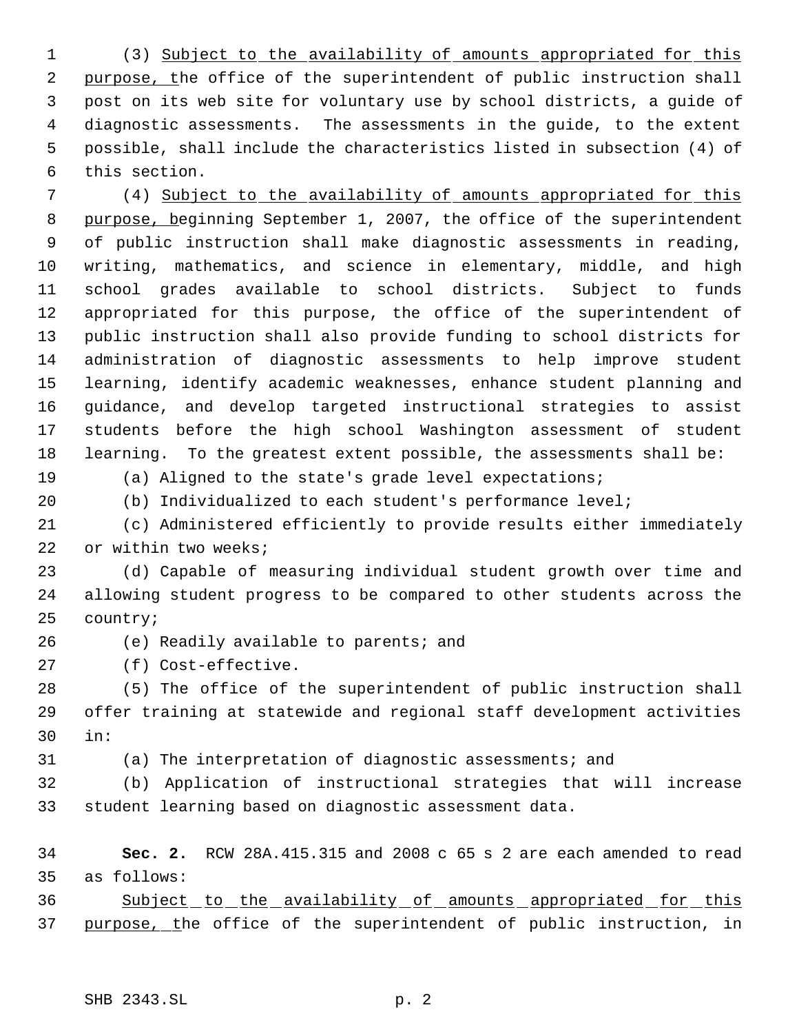(3) Subject to the availability of amounts appropriated for this 2 purpose, the office of the superintendent of public instruction shall post on its web site for voluntary use by school districts, a guide of diagnostic assessments. The assessments in the guide, to the extent possible, shall include the characteristics listed in subsection (4) of this section.

 (4) Subject to the availability of amounts appropriated for this 8 purpose, beginning September 1, 2007, the office of the superintendent of public instruction shall make diagnostic assessments in reading, writing, mathematics, and science in elementary, middle, and high school grades available to school districts. Subject to funds appropriated for this purpose, the office of the superintendent of public instruction shall also provide funding to school districts for administration of diagnostic assessments to help improve student learning, identify academic weaknesses, enhance student planning and guidance, and develop targeted instructional strategies to assist students before the high school Washington assessment of student learning. To the greatest extent possible, the assessments shall be:

(a) Aligned to the state's grade level expectations;

(b) Individualized to each student's performance level;

 (c) Administered efficiently to provide results either immediately 22 or within two weeks;

 (d) Capable of measuring individual student growth over time and allowing student progress to be compared to other students across the country;

(e) Readily available to parents; and

(f) Cost-effective.

 (5) The office of the superintendent of public instruction shall offer training at statewide and regional staff development activities in:

(a) The interpretation of diagnostic assessments; and

 (b) Application of instructional strategies that will increase student learning based on diagnostic assessment data.

 **Sec. 2.** RCW 28A.415.315 and 2008 c 65 s 2 are each amended to read as follows:

36 Subject to the availability of amounts appropriated for this 37 purpose, the office of the superintendent of public instruction, in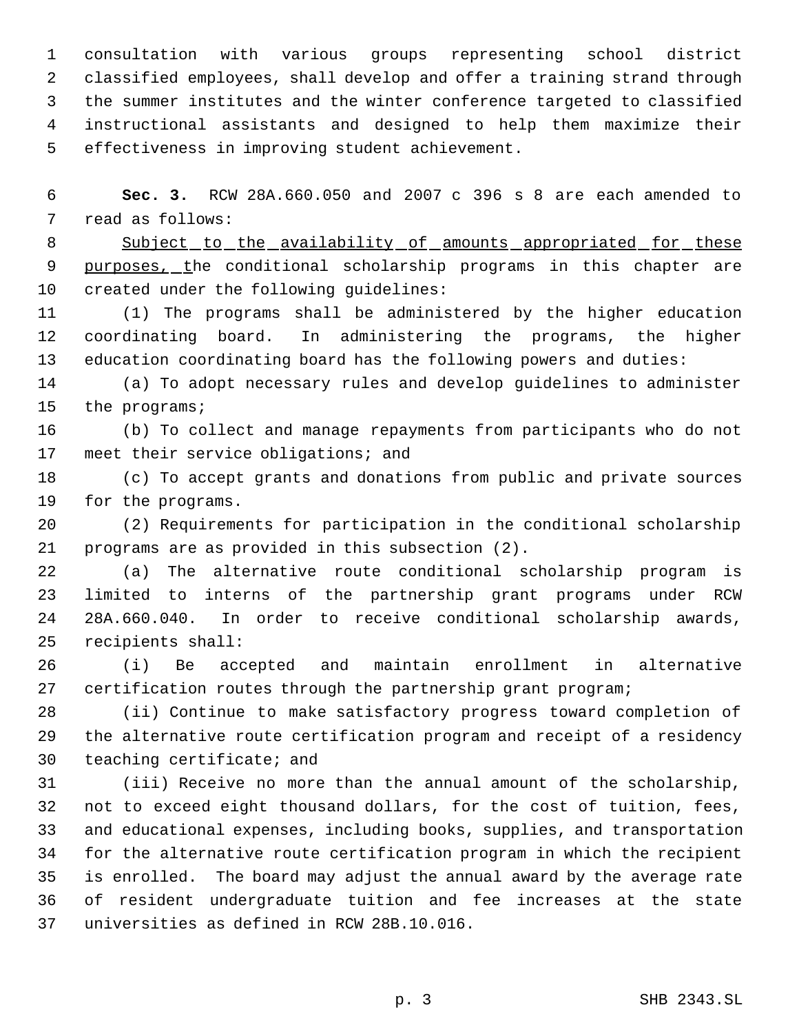consultation with various groups representing school district classified employees, shall develop and offer a training strand through the summer institutes and the winter conference targeted to classified instructional assistants and designed to help them maximize their effectiveness in improving student achievement.

 **Sec. 3.** RCW 28A.660.050 and 2007 c 396 s 8 are each amended to read as follows:

8 Subject to the availability of amounts appropriated for these 9 purposes, the conditional scholarship programs in this chapter are created under the following guidelines:

 (1) The programs shall be administered by the higher education coordinating board. In administering the programs, the higher education coordinating board has the following powers and duties:

 (a) To adopt necessary rules and develop guidelines to administer the programs;

 (b) To collect and manage repayments from participants who do not 17 meet their service obligations; and

 (c) To accept grants and donations from public and private sources for the programs.

 (2) Requirements for participation in the conditional scholarship programs are as provided in this subsection (2).

 (a) The alternative route conditional scholarship program is limited to interns of the partnership grant programs under RCW 28A.660.040. In order to receive conditional scholarship awards, recipients shall:

 (i) Be accepted and maintain enrollment in alternative certification routes through the partnership grant program;

 (ii) Continue to make satisfactory progress toward completion of the alternative route certification program and receipt of a residency teaching certificate; and

 (iii) Receive no more than the annual amount of the scholarship, not to exceed eight thousand dollars, for the cost of tuition, fees, and educational expenses, including books, supplies, and transportation for the alternative route certification program in which the recipient is enrolled. The board may adjust the annual award by the average rate of resident undergraduate tuition and fee increases at the state universities as defined in RCW 28B.10.016.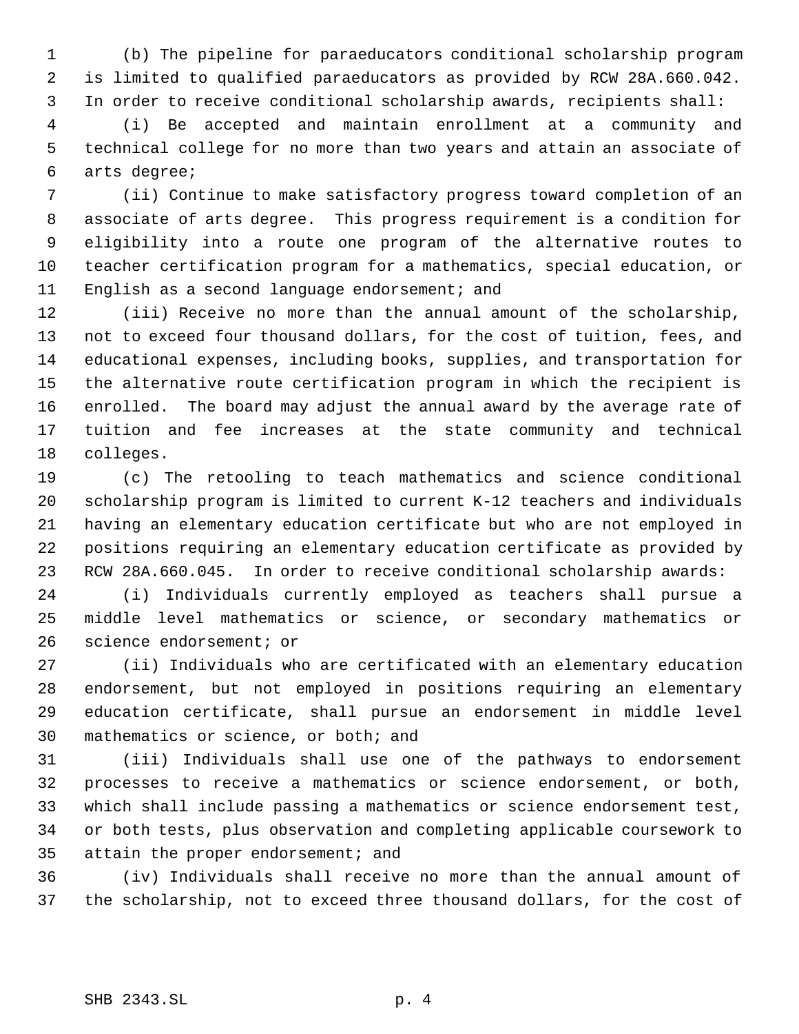(b) The pipeline for paraeducators conditional scholarship program is limited to qualified paraeducators as provided by RCW 28A.660.042. In order to receive conditional scholarship awards, recipients shall:

 (i) Be accepted and maintain enrollment at a community and technical college for no more than two years and attain an associate of arts degree;

 (ii) Continue to make satisfactory progress toward completion of an associate of arts degree. This progress requirement is a condition for eligibility into a route one program of the alternative routes to teacher certification program for a mathematics, special education, or English as a second language endorsement; and

 (iii) Receive no more than the annual amount of the scholarship, not to exceed four thousand dollars, for the cost of tuition, fees, and educational expenses, including books, supplies, and transportation for the alternative route certification program in which the recipient is enrolled. The board may adjust the annual award by the average rate of tuition and fee increases at the state community and technical colleges.

 (c) The retooling to teach mathematics and science conditional scholarship program is limited to current K-12 teachers and individuals having an elementary education certificate but who are not employed in positions requiring an elementary education certificate as provided by RCW 28A.660.045. In order to receive conditional scholarship awards:

 (i) Individuals currently employed as teachers shall pursue a middle level mathematics or science, or secondary mathematics or science endorsement; or

 (ii) Individuals who are certificated with an elementary education endorsement, but not employed in positions requiring an elementary education certificate, shall pursue an endorsement in middle level mathematics or science, or both; and

 (iii) Individuals shall use one of the pathways to endorsement processes to receive a mathematics or science endorsement, or both, which shall include passing a mathematics or science endorsement test, or both tests, plus observation and completing applicable coursework to attain the proper endorsement; and

 (iv) Individuals shall receive no more than the annual amount of the scholarship, not to exceed three thousand dollars, for the cost of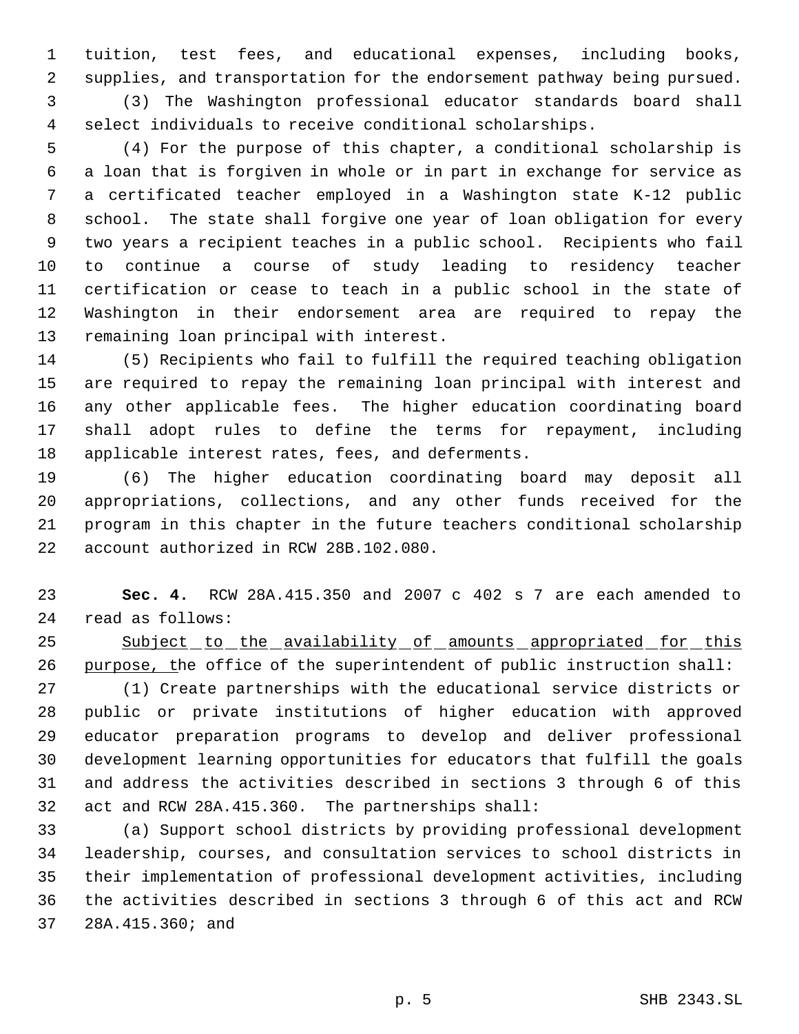tuition, test fees, and educational expenses, including books, supplies, and transportation for the endorsement pathway being pursued. (3) The Washington professional educator standards board shall select individuals to receive conditional scholarships.

 (4) For the purpose of this chapter, a conditional scholarship is a loan that is forgiven in whole or in part in exchange for service as a certificated teacher employed in a Washington state K-12 public school. The state shall forgive one year of loan obligation for every two years a recipient teaches in a public school. Recipients who fail to continue a course of study leading to residency teacher certification or cease to teach in a public school in the state of Washington in their endorsement area are required to repay the remaining loan principal with interest.

 (5) Recipients who fail to fulfill the required teaching obligation are required to repay the remaining loan principal with interest and any other applicable fees. The higher education coordinating board shall adopt rules to define the terms for repayment, including applicable interest rates, fees, and deferments.

 (6) The higher education coordinating board may deposit all appropriations, collections, and any other funds received for the program in this chapter in the future teachers conditional scholarship account authorized in RCW 28B.102.080.

 **Sec. 4.** RCW 28A.415.350 and 2007 c 402 s 7 are each amended to read as follows:

25 Subject to the availability of amounts appropriated for this purpose, the office of the superintendent of public instruction shall:

 (1) Create partnerships with the educational service districts or public or private institutions of higher education with approved educator preparation programs to develop and deliver professional development learning opportunities for educators that fulfill the goals and address the activities described in sections 3 through 6 of this act and RCW 28A.415.360. The partnerships shall:

 (a) Support school districts by providing professional development leadership, courses, and consultation services to school districts in their implementation of professional development activities, including the activities described in sections 3 through 6 of this act and RCW 28A.415.360; and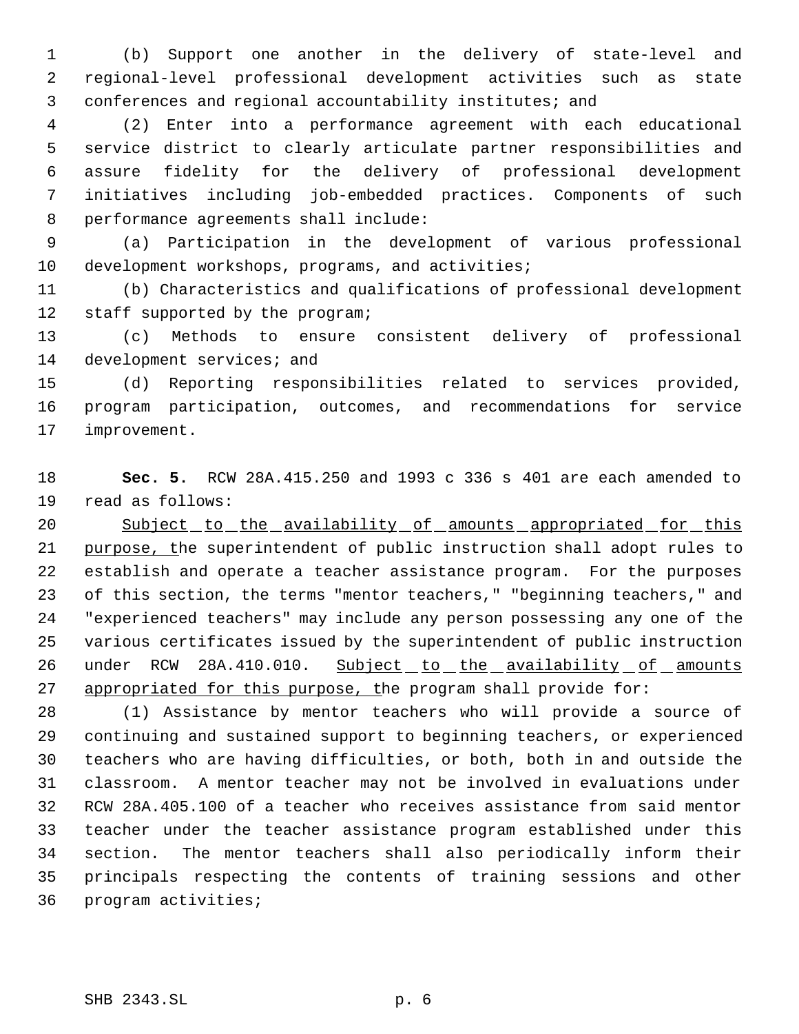(b) Support one another in the delivery of state-level and regional-level professional development activities such as state conferences and regional accountability institutes; and

 (2) Enter into a performance agreement with each educational service district to clearly articulate partner responsibilities and assure fidelity for the delivery of professional development initiatives including job-embedded practices. Components of such performance agreements shall include:

 (a) Participation in the development of various professional development workshops, programs, and activities;

 (b) Characteristics and qualifications of professional development staff supported by the program;

 (c) Methods to ensure consistent delivery of professional 14 development services; and

 (d) Reporting responsibilities related to services provided, program participation, outcomes, and recommendations for service improvement.

 **Sec. 5.** RCW 28A.415.250 and 1993 c 336 s 401 are each amended to read as follows:

20 Subject to the availability of amounts appropriated for this 21 purpose, the superintendent of public instruction shall adopt rules to establish and operate a teacher assistance program. For the purposes of this section, the terms "mentor teachers," "beginning teachers," and "experienced teachers" may include any person possessing any one of the various certificates issued by the superintendent of public instruction 26 under RCW 28A.410.010. Subject to the availability of amounts 27 appropriated for this purpose, the program shall provide for:

 (1) Assistance by mentor teachers who will provide a source of continuing and sustained support to beginning teachers, or experienced teachers who are having difficulties, or both, both in and outside the classroom. A mentor teacher may not be involved in evaluations under RCW 28A.405.100 of a teacher who receives assistance from said mentor teacher under the teacher assistance program established under this section. The mentor teachers shall also periodically inform their principals respecting the contents of training sessions and other program activities;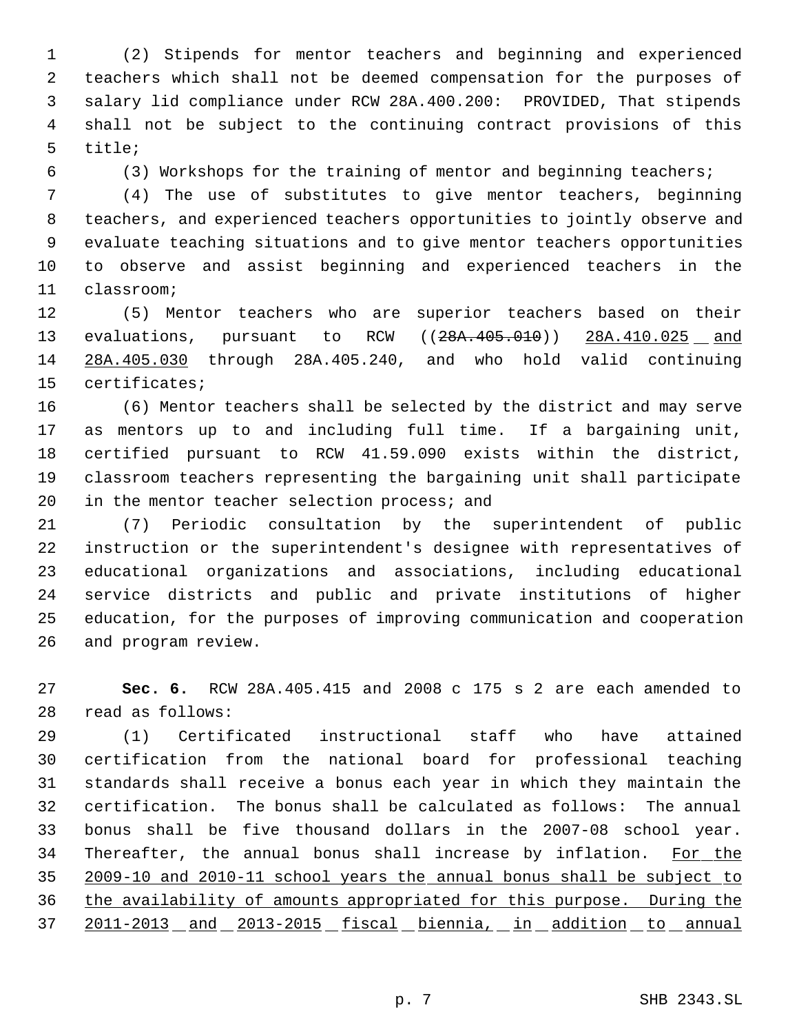(2) Stipends for mentor teachers and beginning and experienced teachers which shall not be deemed compensation for the purposes of salary lid compliance under RCW 28A.400.200: PROVIDED, That stipends shall not be subject to the continuing contract provisions of this title;

(3) Workshops for the training of mentor and beginning teachers;

 (4) The use of substitutes to give mentor teachers, beginning teachers, and experienced teachers opportunities to jointly observe and evaluate teaching situations and to give mentor teachers opportunities to observe and assist beginning and experienced teachers in the classroom;

 (5) Mentor teachers who are superior teachers based on their 13 evaluations, pursuant to RCW ((28A.405.010)) 28A.410.025 and 28A.405.030 through 28A.405.240, and who hold valid continuing certificates;

 (6) Mentor teachers shall be selected by the district and may serve as mentors up to and including full time. If a bargaining unit, certified pursuant to RCW 41.59.090 exists within the district, classroom teachers representing the bargaining unit shall participate 20 in the mentor teacher selection process; and

 (7) Periodic consultation by the superintendent of public instruction or the superintendent's designee with representatives of educational organizations and associations, including educational service districts and public and private institutions of higher education, for the purposes of improving communication and cooperation and program review.

 **Sec. 6.** RCW 28A.405.415 and 2008 c 175 s 2 are each amended to read as follows:

 (1) Certificated instructional staff who have attained certification from the national board for professional teaching standards shall receive a bonus each year in which they maintain the certification. The bonus shall be calculated as follows: The annual bonus shall be five thousand dollars in the 2007-08 school year. 34 Thereafter, the annual bonus shall increase by inflation. For the 2009-10 and 2010-11 school years the annual bonus shall be subject to the availability of amounts appropriated for this purpose. During the 2011-2013 and 2013-2015 fiscal biennia, in addition to annual